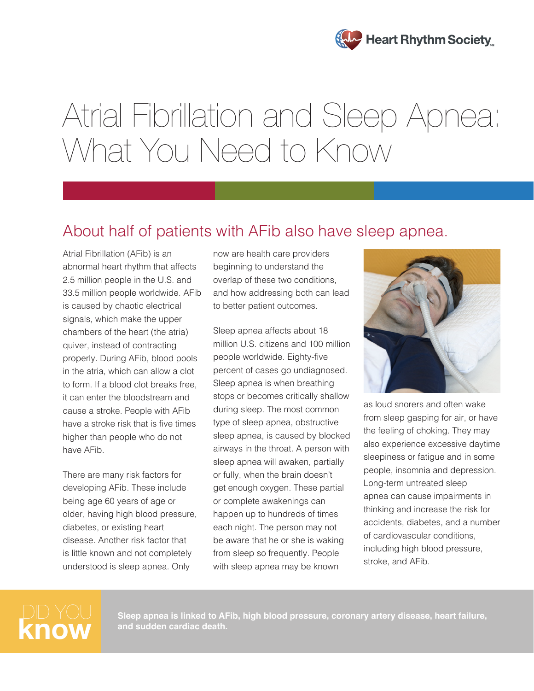

# Atrial Fibrillation and Sleep Apnea: What You Need to Know

## About half of patients with AFib also have sleep apnea.

Atrial Fibrillation (AFib) is an abnormal heart rhythm that affects 2.5 million people in the U.S. and 33.5 million people worldwide. AFib is caused by chaotic electrical signals, which make the upper chambers of the heart (the atria) quiver, instead of contracting properly. During AFib, blood pools in the atria, which can allow a clot to form. If a blood clot breaks free, it can enter the bloodstream and cause a stroke. People with AFib have a stroke risk that is five times higher than people who do not have AFib.

There are many risk factors for developing AFib. These include being age 60 years of age or older, having high blood pressure, diabetes, or existing heart disease. Another risk factor that is little known and not completely understood is sleep apnea. Only

now are health care providers beginning to understand the overlap of these two conditions, and how addressing both can lead to better patient outcomes.

Sleep apnea affects about 18 million U.S. citizens and 100 million people worldwide. Eighty-five percent of cases go undiagnosed. Sleep apnea is when breathing stops or becomes critically shallow during sleep. The most common type of sleep apnea, obstructive sleep apnea, is caused by blocked airways in the throat. A person with sleep apnea will awaken, partially or fully, when the brain doesn't get enough oxygen. These partial or complete awakenings can happen up to hundreds of times each night. The person may not be aware that he or she is waking from sleep so frequently. People with sleep apnea may be known



as loud snorers and often wake from sleep gasping for air, or have the feeling of choking. They may also experience excessive daytime sleepiness or fatigue and in some people, insomnia and depression. Long-term untreated sleep apnea can cause impairments in thinking and increase the risk for accidents, diabetes, and a number of cardiovascular conditions, including high blood pressure, stroke, and AFib.

DID YOU Sleep apnea is linked to AFib, high blood pressure, coronary artery disease, heart failure,<br>**KNOW** and sudden cardiac death. **and sudden cardiac death.**